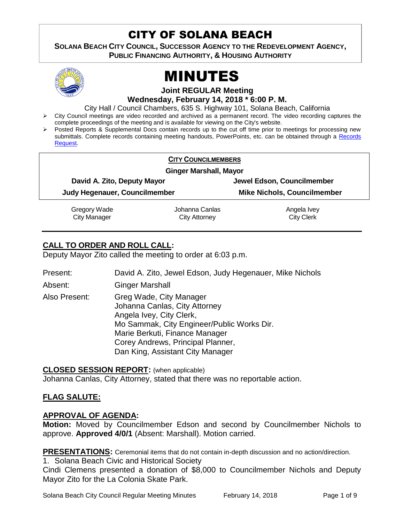# CITY OF SOLANA BEACH

**SOLANA BEACH CITY COUNCIL, SUCCESSOR AGENCY TO THE REDEVELOPMENT AGENCY, PUBLIC FINANCING AUTHORITY, & HOUSING AUTHORITY** 



# MINUTES

**Joint REGULAR Meeting**

**Wednesday, February 14, 2018 \* 6:00 P. M.**

City Hall / Council Chambers, 635 S. Highway 101, Solana Beach, California

- $\triangleright$  City Council meetings are video recorded and archived as a permanent record. The video recording captures the complete proceedings of the meeting and is available for viewing on the City's website.
- Posted Reports & Supplemental Docs contain records up to the cut off time prior to meetings for processing new submittals. Complete records containing meeting handouts, PowerPoints, etc. can be obtained through a [Records](http://www.ci.solana-beach.ca.us/index.asp?SEC=F5D45D10-70CE-4291-A27C-7BD633FC6742&Type=B_BASIC)  [Request.](http://www.ci.solana-beach.ca.us/index.asp?SEC=F5D45D10-70CE-4291-A27C-7BD633FC6742&Type=B_BASIC)

|                                                              | <b>CITY COUNCILMEMBERS</b> |                                    |  |
|--------------------------------------------------------------|----------------------------|------------------------------------|--|
| <b>Ginger Marshall, Mayor</b>                                |                            |                                    |  |
| David A. Zito, Deputy Mayor<br>Judy Hegenauer, Councilmember |                            | Jewel Edson, Councilmember         |  |
|                                                              |                            | <b>Mike Nichols, Councilmember</b> |  |
| Gregory Wade                                                 | Johanna Canlas             | Angela Ivey                        |  |
| <b>City Manager</b>                                          | City Attorney              | <b>City Clerk</b>                  |  |

# **CALL TO ORDER AND ROLL CALL:**

Deputy Mayor Zito called the meeting to order at 6:03 p.m.

| Present:      | David A. Zito, Jewel Edson, Judy Hegenauer, Mike Nichols                                                                                                                                                                                      |
|---------------|-----------------------------------------------------------------------------------------------------------------------------------------------------------------------------------------------------------------------------------------------|
| Absent:       | <b>Ginger Marshall</b>                                                                                                                                                                                                                        |
| Also Present: | Greg Wade, City Manager<br>Johanna Canlas, City Attorney<br>Angela Ivey, City Clerk,<br>Mo Sammak, City Engineer/Public Works Dir.<br>Marie Berkuti, Finance Manager<br>Corey Andrews, Principal Planner,<br>Dan King, Assistant City Manager |

**CLOSED SESSION REPORT:** (when applicable) Johanna Canlas, City Attorney, stated that there was no reportable action.

# **FLAG SALUTE:**

# **APPROVAL OF AGENDA:**

**Motion:** Moved by Councilmember Edson and second by Councilmember Nichols to approve. **Approved 4/0/1** (Absent: Marshall). Motion carried.

**PRESENTATIONS:** Ceremonial items that do not contain in-depth discussion and no action/direction.

1. Solana Beach Civic and Historical Society

Cindi Clemens presented a donation of \$8,000 to Councilmember Nichols and Deputy Mayor Zito for the La Colonia Skate Park.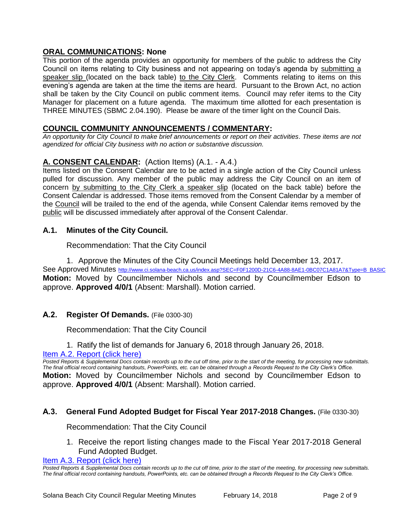# **ORAL COMMUNICATIONS: None**

This portion of the agenda provides an opportunity for members of the public to address the City Council on items relating to City business and not appearing on today's agenda by submitting a speaker slip (located on the back table) to the City Clerk. Comments relating to items on this evening's agenda are taken at the time the items are heard. Pursuant to the Brown Act, no action shall be taken by the City Council on public comment items. Council may refer items to the City Manager for placement on a future agenda. The maximum time allotted for each presentation is THREE MINUTES (SBMC 2.04.190). Please be aware of the timer light on the Council Dais.

# **COUNCIL COMMUNITY ANNOUNCEMENTS / COMMENTARY:**

*An opportunity for City Council to make brief announcements or report on their activities. These items are not agendized for official City business with no action or substantive discussion.* 

# **A. CONSENT CALENDAR:** (Action Items) (A.1. - A.4.)

Items listed on the Consent Calendar are to be acted in a single action of the City Council unless pulled for discussion. Any member of the public may address the City Council on an item of concern by submitting to the City Clerk a speaker slip (located on the back table) before the Consent Calendar is addressed. Those items removed from the Consent Calendar by a member of the Council will be trailed to the end of the agenda, while Consent Calendar items removed by the public will be discussed immediately after approval of the Consent Calendar.

#### **A.1. Minutes of the City Council.**

Recommendation: That the City Council

1. Approve the Minutes of the City Council Meetings held December 13, 2017. See Approved Minutes [http://www.ci.solana-beach.ca.us/index.asp?SEC=F0F1200D-21C6-4A88-8AE1-0BC07C1A81A7&Type=B\\_BASIC](http://www.ci.solana-beach.ca.us/index.asp?SEC=F0F1200D-21C6-4A88-8AE1-0BC07C1A81A7&Type=B_BASIC) **Motion:** Moved by Councilmember Nichols and second by Councilmember Edson to approve. **Approved 4/0/1** (Absent: Marshall). Motion carried.

# **A.2. Register Of Demands.** (File 0300-30)

Recommendation: That the City Council

1. Ratify the list of demands for January 6, 2018 through January 26, 2018.

[Item A.2. Report \(click here\)](https://solanabeach.govoffice3.com/vertical/Sites/%7B840804C2-F869-4904-9AE3-720581350CE7%7D/uploads/Item_A.2._Report_(click_here)_-_02-14-18.PDF)

*Posted Reports & Supplemental Docs contain records up to the cut off time, prior to the start of the meeting, for processing new submittals. The final official record containing handouts, PowerPoints, etc. can be obtained through a Records Request to the City Clerk's Office.* **Motion:** Moved by Councilmember Nichols and second by Councilmember Edson to approve. **Approved 4/0/1** (Absent: Marshall). Motion carried.

# **A.3. General Fund Adopted Budget for Fiscal Year 2017-2018 Changes.** (File 0330-30)

Recommendation: That the City Council

1. Receive the report listing changes made to the Fiscal Year 2017-2018 General Fund Adopted Budget.

[Item A.3. Report \(click here\)](https://solanabeach.govoffice3.com/vertical/Sites/%7B840804C2-F869-4904-9AE3-720581350CE7%7D/uploads/Item_A.3._Report_(click_here)_-_02-14-18.PDF)

*Posted Reports & Supplemental Docs contain records up to the cut off time, prior to the start of the meeting, for processing new submittals. The final official record containing handouts, PowerPoints, etc. can be obtained through a Records Request to the City Clerk's Office.*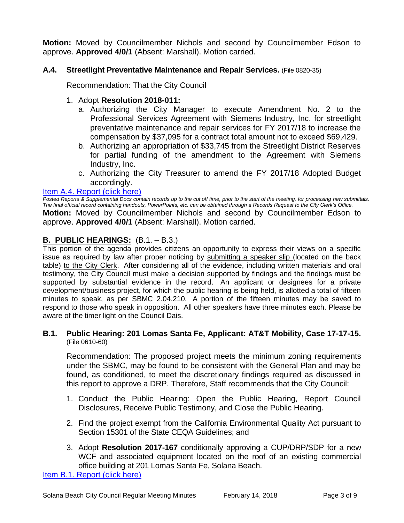**Motion:** Moved by Councilmember Nichols and second by Councilmember Edson to approve. **Approved 4/0/1** (Absent: Marshall). Motion carried.

# **A.4. Streetlight Preventative Maintenance and Repair Services.** (File 0820-35)

Recommendation: That the City Council

#### 1. Adopt **Resolution 2018-011:**

- a. Authorizing the City Manager to execute Amendment No. 2 to the Professional Services Agreement with Siemens Industry, Inc. for streetlight preventative maintenance and repair services for FY 2017/18 to increase the compensation by \$37,095 for a contract total amount not to exceed \$69,429.
- b. Authorizing an appropriation of \$33,745 from the Streetlight District Reserves for partial funding of the amendment to the Agreement with Siemens Industry, Inc.
- c. Authorizing the City Treasurer to amend the FY 2017/18 Adopted Budget accordingly.

#### [Item A.4. Report \(click here\)](https://solanabeach.govoffice3.com/vertical/Sites/%7B840804C2-F869-4904-9AE3-720581350CE7%7D/uploads/Item_A.4._Report_(click_here)_-_02-14-18.PDF)

*Posted Reports & Supplemental Docs contain records up to the cut off time, prior to the start of the meeting, for processing new submittals. The final official record containing handouts, PowerPoints, etc. can be obtained through a Records Request to the City Clerk's Office.* **Motion:** Moved by Councilmember Nichols and second by Councilmember Edson to approve. **Approved 4/0/1** (Absent: Marshall). Motion carried.

# **B. PUBLIC HEARINGS:** (B.1. – B.3.)

This portion of the agenda provides citizens an opportunity to express their views on a specific issue as required by law after proper noticing by submitting a speaker slip (located on the back table) to the City Clerk. After considering all of the evidence, including written materials and oral testimony, the City Council must make a decision supported by findings and the findings must be supported by substantial evidence in the record. An applicant or designees for a private development/business project, for which the public hearing is being held, is allotted a total of fifteen minutes to speak, as per SBMC 2.04.210. A portion of the fifteen minutes may be saved to respond to those who speak in opposition. All other speakers have three minutes each. Please be aware of the timer light on the Council Dais.

#### **B.1. Public Hearing: 201 Lomas Santa Fe, Applicant: AT&T Mobility, Case 17-17-15.** (File 0610-60)

Recommendation: The proposed project meets the minimum zoning requirements under the SBMC, may be found to be consistent with the General Plan and may be found, as conditioned, to meet the discretionary findings required as discussed in this report to approve a DRP. Therefore, Staff recommends that the City Council:

- 1. Conduct the Public Hearing: Open the Public Hearing, Report Council Disclosures, Receive Public Testimony, and Close the Public Hearing.
- 2. Find the project exempt from the California Environmental Quality Act pursuant to Section 15301 of the State CEQA Guidelines; and
- 3. Adopt **Resolution 2017-167** conditionally approving a CUP/DRP/SDP for a new WCF and associated equipment located on the roof of an existing commercial office building at 201 Lomas Santa Fe, Solana Beach.

[Item B.1. Report \(click here\)](https://solanabeach.govoffice3.com/vertical/Sites/%7B840804C2-F869-4904-9AE3-720581350CE7%7D/uploads/Item_B.1._Report_(click_here)_-_02-14-18.PDF)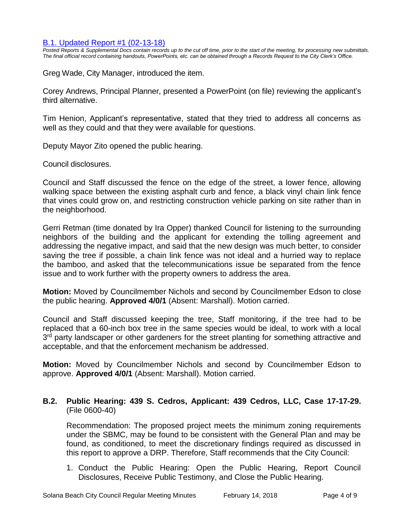#### B.1. [Updated Report #1 \(02-13-18\)](https://solanabeach.govoffice3.com/vertical/Sites/%7B840804C2-F869-4904-9AE3-720581350CE7%7D/uploads/B.1._Supplemental_Documents_-_02-13-18.pdf)

*Posted Reports & Supplemental Docs contain records up to the cut off time, prior to the start of the meeting, for processing new submittals. The final official record containing handouts, PowerPoints, etc. can be obtained through a Records Request to the City Clerk's Office.*

Greg Wade, City Manager, introduced the item.

Corey Andrews, Principal Planner, presented a PowerPoint (on file) reviewing the applicant's third alternative.

Tim Henion, Applicant's representative, stated that they tried to address all concerns as well as they could and that they were available for questions.

Deputy Mayor Zito opened the public hearing.

Council disclosures.

Council and Staff discussed the fence on the edge of the street, a lower fence, allowing walking space between the existing asphalt curb and fence, a black vinyl chain link fence that vines could grow on, and restricting construction vehicle parking on site rather than in the neighborhood.

Gerri Retman (time donated by Ira Opper) thanked Council for listening to the surrounding neighbors of the building and the applicant for extending the tolling agreement and addressing the negative impact, and said that the new design was much better, to consider saving the tree if possible, a chain link fence was not ideal and a hurried way to replace the bamboo, and asked that the telecommunications issue be separated from the fence issue and to work further with the property owners to address the area.

**Motion:** Moved by Councilmember Nichols and second by Councilmember Edson to close the public hearing. **Approved 4/0/1** (Absent: Marshall). Motion carried.

Council and Staff discussed keeping the tree, Staff monitoring, if the tree had to be replaced that a 60-inch box tree in the same species would be ideal, to work with a local 3<sup>rd</sup> party landscaper or other gardeners for the street planting for something attractive and acceptable, and that the enforcement mechanism be addressed.

**Motion:** Moved by Councilmember Nichols and second by Councilmember Edson to approve. **Approved 4/0/1** (Absent: Marshall). Motion carried.

#### **B.2. Public Hearing: 439 S. Cedros, Applicant: 439 Cedros, LLC, Case 17-17-29.** (File 0600-40)

Recommendation: The proposed project meets the minimum zoning requirements under the SBMC, may be found to be consistent with the General Plan and may be found, as conditioned, to meet the discretionary findings required as discussed in this report to approve a DRP. Therefore, Staff recommends that the City Council:

1. Conduct the Public Hearing: Open the Public Hearing, Report Council Disclosures, Receive Public Testimony, and Close the Public Hearing.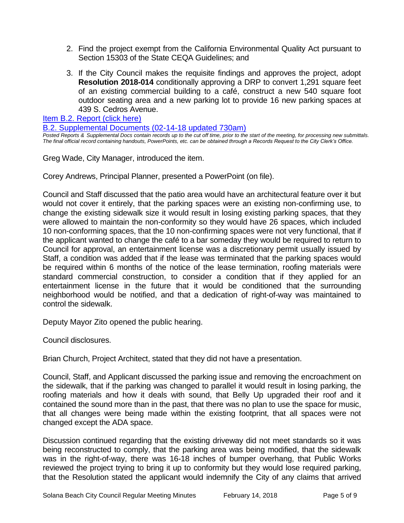- 2. Find the project exempt from the California Environmental Quality Act pursuant to Section 15303 of the State CEQA Guidelines; and
- 3. If the City Council makes the requisite findings and approves the project, adopt **Resolution 2018-014** conditionally approving a DRP to convert 1,291 square feet of an existing commercial building to a café, construct a new 540 square foot outdoor seating area and a new parking lot to provide 16 new parking spaces at 439 S. Cedros Avenue.

[Item B.2. Report \(click here\)](https://solanabeach.govoffice3.com/vertical/Sites/%7B840804C2-F869-4904-9AE3-720581350CE7%7D/uploads/Item_B.2._Report_(click_here)_-_02-14-18.pdf)

[B.2. Supplemental Documents \(02-14-18](https://solanabeach.govoffice3.com/vertical/Sites/%7B840804C2-F869-4904-9AE3-720581350CE7%7D/uploads/B.2._Supplemental_Documents_(02-14-18_updated_730am).pdf) updated 730am)

*Posted Reports & Supplemental Docs contain records up to the cut off time, prior to the start of the meeting, for processing new submittals. The final official record containing handouts, PowerPoints, etc. can be obtained through a Records Request to the City Clerk's Office.*

Greg Wade, City Manager, introduced the item.

Corey Andrews, Principal Planner, presented a PowerPoint (on file).

Council and Staff discussed that the patio area would have an architectural feature over it but would not cover it entirely, that the parking spaces were an existing non-confirming use, to change the existing sidewalk size it would result in losing existing parking spaces, that they were allowed to maintain the non-conformity so they would have 26 spaces, which included 10 non-conforming spaces, that the 10 non-confirming spaces were not very functional, that if the applicant wanted to change the café to a bar someday they would be required to return to Council for approval, an entertainment license was a discretionary permit usually issued by Staff, a condition was added that if the lease was terminated that the parking spaces would be required within 6 months of the notice of the lease termination, roofing materials were standard commercial construction, to consider a condition that if they applied for an entertainment license in the future that it would be conditioned that the surrounding neighborhood would be notified, and that a dedication of right-of-way was maintained to control the sidewalk.

Deputy Mayor Zito opened the public hearing.

Council disclosures.

Brian Church, Project Architect, stated that they did not have a presentation.

Council, Staff, and Applicant discussed the parking issue and removing the encroachment on the sidewalk, that if the parking was changed to parallel it would result in losing parking, the roofing materials and how it deals with sound, that Belly Up upgraded their roof and it contained the sound more than in the past, that there was no plan to use the space for music, that all changes were being made within the existing footprint, that all spaces were not changed except the ADA space.

Discussion continued regarding that the existing driveway did not meet standards so it was being reconstructed to comply, that the parking area was being modified, that the sidewalk was in the right-of-way, there was 16-18 inches of bumper overhang, that Public Works reviewed the project trying to bring it up to conformity but they would lose required parking, that the Resolution stated the applicant would indemnify the City of any claims that arrived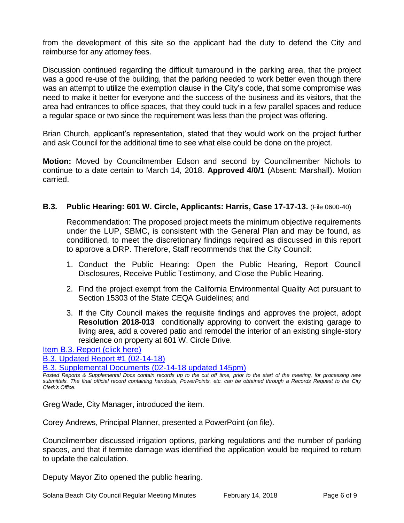from the development of this site so the applicant had the duty to defend the City and reimburse for any attorney fees.

Discussion continued regarding the difficult turnaround in the parking area, that the project was a good re-use of the building, that the parking needed to work better even though there was an attempt to utilize the exemption clause in the City's code, that some compromise was need to make it better for everyone and the success of the business and its visitors, that the area had entrances to office spaces, that they could tuck in a few parallel spaces and reduce a regular space or two since the requirement was less than the project was offering.

Brian Church, applicant's representation, stated that they would work on the project further and ask Council for the additional time to see what else could be done on the project.

**Motion:** Moved by Councilmember Edson and second by Councilmember Nichols to continue to a date certain to March 14, 2018. **Approved 4/0/1** (Absent: Marshall). Motion carried.

#### **B.3. Public Hearing: 601 W. Circle, Applicants: Harris, Case 17-17-13.** (File 0600-40)

Recommendation: The proposed project meets the minimum objective requirements under the LUP, SBMC, is consistent with the General Plan and may be found, as conditioned, to meet the discretionary findings required as discussed in this report to approve a DRP. Therefore, Staff recommends that the City Council:

- 1. Conduct the Public Hearing: Open the Public Hearing, Report Council Disclosures, Receive Public Testimony, and Close the Public Hearing.
- 2. Find the project exempt from the California Environmental Quality Act pursuant to Section 15303 of the State CEQA Guidelines; and
- 3. If the City Council makes the requisite findings and approves the project, adopt **Resolution 2018-013** conditionally approving to convert the existing garage to living area, add a covered patio and remodel the interior of an existing single-story residence on property at 601 W. Circle Drive.

[Item B.3. Report \(click here\)](https://solanabeach.govoffice3.com/vertical/Sites/%7B840804C2-F869-4904-9AE3-720581350CE7%7D/uploads/Item_B.3._Report_(click_here)_-_02-14-18.PDF)

[B.3. Updated Report #1 \(02-14-18\)](https://solanabeach.govoffice3.com/vertical/Sites/%7B840804C2-F869-4904-9AE3-720581350CE7%7D/uploads/B.3._Updated_Report_1_-_02-14-18.pdf)

[B.3. Supplemental Documents \(02-14-18 updated 145pm\)](https://solanabeach.govoffice3.com/vertical/Sites/%7B840804C2-F869-4904-9AE3-720581350CE7%7D/uploads/B.3._Supplemental_Documents_(02-14-18_updated_146pm).pdf)

*Posted Reports & Supplemental Docs contain records up to the cut off time, prior to the start of the meeting, for processing new submittals. The final official record containing handouts, PowerPoints, etc. can be obtained through a Records Request to the City Clerk's Office.*

Greg Wade, City Manager, introduced the item.

Corey Andrews, Principal Planner, presented a PowerPoint (on file).

Councilmember discussed irrigation options, parking regulations and the number of parking spaces, and that if termite damage was identified the application would be required to return to update the calculation.

Deputy Mayor Zito opened the public hearing.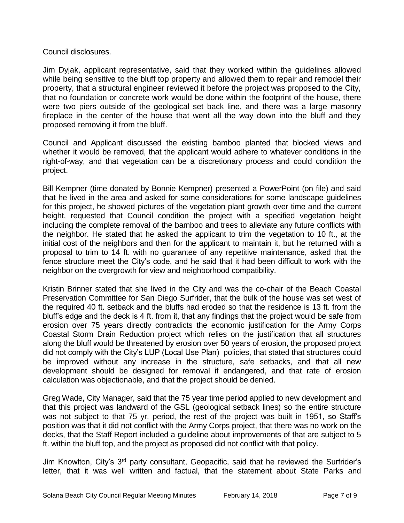# Council disclosures.

Jim Dyjak, applicant representative, said that they worked within the guidelines allowed while being sensitive to the bluff top property and allowed them to repair and remodel their property, that a structural engineer reviewed it before the project was proposed to the City, that no foundation or concrete work would be done within the footprint of the house, there were two piers outside of the geological set back line, and there was a large masonry fireplace in the center of the house that went all the way down into the bluff and they proposed removing it from the bluff.

Council and Applicant discussed the existing bamboo planted that blocked views and whether it would be removed, that the applicant would adhere to whatever conditions in the right-of-way, and that vegetation can be a discretionary process and could condition the project.

Bill Kempner (time donated by Bonnie Kempner) presented a PowerPoint (on file) and said that he lived in the area and asked for some considerations for some landscape guidelines for this project, he showed pictures of the vegetation plant growth over time and the current height, requested that Council condition the project with a specified vegetation height including the complete removal of the bamboo and trees to alleviate any future conflicts with the neighbor. He stated that he asked the applicant to trim the vegetation to 10 ft., at the initial cost of the neighbors and then for the applicant to maintain it, but he returned with a proposal to trim to 14 ft. with no guarantee of any repetitive maintenance, asked that the fence structure meet the City's code, and he said that it had been difficult to work with the neighbor on the overgrowth for view and neighborhood compatibility.

Kristin Brinner stated that she lived in the City and was the co-chair of the Beach Coastal Preservation Committee for San Diego Surfrider, that the bulk of the house was set west of the required 40 ft. setback and the bluffs had eroded so that the residence is 13 ft. from the bluff's edge and the deck is 4 ft. from it, that any findings that the project would be safe from erosion over 75 years directly contradicts the economic justification for the Army Corps Coastal Storm Drain Reduction project which relies on the justification that all structures along the bluff would be threatened by erosion over 50 years of erosion, the proposed project did not comply with the City's LUP (Local Use Plan) policies, that stated that structures could be improved without any increase in the structure, safe setbacks, and that all new development should be designed for removal if endangered, and that rate of erosion calculation was objectionable, and that the project should be denied.

Greg Wade, City Manager, said that the 75 year time period applied to new development and that this project was landward of the GSL (geological setback lines) so the entire structure was not subject to that 75 yr. period, the rest of the project was built in 1951, so Staff's position was that it did not conflict with the Army Corps project, that there was no work on the decks, that the Staff Report included a guideline about improvements of that are subject to 5 ft. within the bluff top, and the project as proposed did not conflict with that policy.

Jim Knowlton, City's 3<sup>rd</sup> party consultant, Geopacific, said that he reviewed the Surfrider's letter, that it was well written and factual, that the statement about State Parks and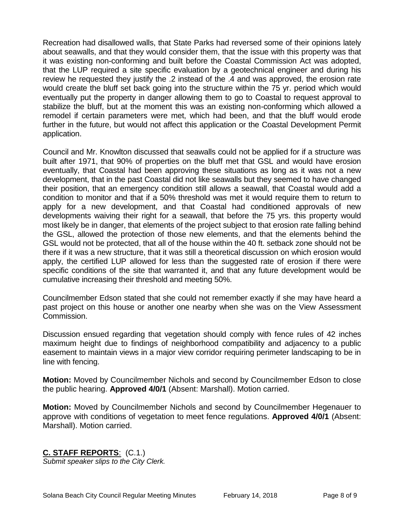Recreation had disallowed walls, that State Parks had reversed some of their opinions lately about seawalls, and that they would consider them, that the issue with this property was that it was existing non-conforming and built before the Coastal Commission Act was adopted, that the LUP required a site specific evaluation by a geotechnical engineer and during his review he requested they justify the .2 instead of the .4 and was approved, the erosion rate would create the bluff set back going into the structure within the 75 yr. period which would eventually put the property in danger allowing them to go to Coastal to request approval to stabilize the bluff, but at the moment this was an existing non-conforming which allowed a remodel if certain parameters were met, which had been, and that the bluff would erode further in the future, but would not affect this application or the Coastal Development Permit application.

Council and Mr. Knowlton discussed that seawalls could not be applied for if a structure was built after 1971, that 90% of properties on the bluff met that GSL and would have erosion eventually, that Coastal had been approving these situations as long as it was not a new development, that in the past Coastal did not like seawalls but they seemed to have changed their position, that an emergency condition still allows a seawall, that Coastal would add a condition to monitor and that if a 50% threshold was met it would require them to return to apply for a new development, and that Coastal had conditioned approvals of new developments waiving their right for a seawall, that before the 75 yrs. this property would most likely be in danger, that elements of the project subject to that erosion rate falling behind the GSL, allowed the protection of those new elements, and that the elements behind the GSL would not be protected, that all of the house within the 40 ft. setback zone should not be there if it was a new structure, that it was still a theoretical discussion on which erosion would apply, the certified LUP allowed for less than the suggested rate of erosion if there were specific conditions of the site that warranted it, and that any future development would be cumulative increasing their threshold and meeting 50%.

Councilmember Edson stated that she could not remember exactly if she may have heard a past project on this house or another one nearby when she was on the View Assessment Commission.

Discussion ensued regarding that vegetation should comply with fence rules of 42 inches maximum height due to findings of neighborhood compatibility and adjacency to a public easement to maintain views in a major view corridor requiring perimeter landscaping to be in line with fencing.

**Motion:** Moved by Councilmember Nichols and second by Councilmember Edson to close the public hearing. **Approved 4/0/1** (Absent: Marshall). Motion carried.

**Motion:** Moved by Councilmember Nichols and second by Councilmember Hegenauer to approve with conditions of vegetation to meet fence regulations. **Approved 4/0/1** (Absent: Marshall). Motion carried.

# **C. STAFF REPORTS**: (C.1.)

*Submit speaker slips to the City Clerk.*